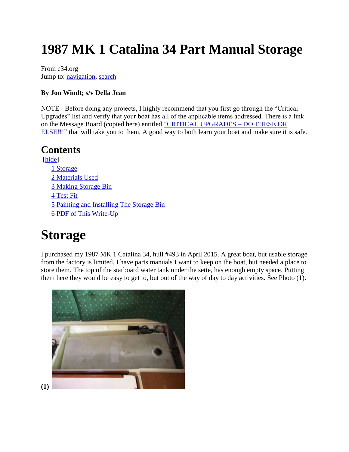# **1987 MK 1 Catalina 34 Part Manual Storage**

From c34.org Jump to: navigation, search

#### **By Jon Windt; s/v Della Jean**

NOTE - Before doing any projects, I highly recommend that you first go through the "Critical Upgrades" list and verify that your boat has all of the applicable items addressed. There is a link on the Message Board (copied here) entitled "CRITICAL UPGRADES – DO THESE OR ELSE!!!" that will take you to them. A good way to both learn your boat and make sure it is safe.

### **Contents**

[hide] 1 Storage 2 Materials Used 3 Making Storage Bin 4 Test Fit 5 Painting and Installing The Storage Bin 6 PDF of This Write-Up

## **Storage**

I purchased my 1987 MK 1 Catalina 34, hull #493 in April 2015. A great boat, but usable storage from the factory is limited. I have parts manuals I want to keep on the boat, but needed a place to store them. The top of the starboard water tank under the sette, has enough empty space. Putting them here they would be easy to get to, but out of the way of day to day activities. See Photo (1).

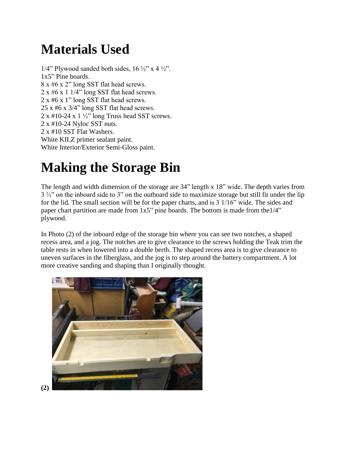# **Materials Used**

1/4" Plywood sanded both sides,  $16 \frac{1}{2}$ " x 4  $\frac{1}{2}$ ". 1x5" Pine boards. 8 x #6 x 2" long SST flat head screws.  $2 \times 46 \times 1$  1/4" long SST flat head screws. 2 x #6 x 1" long SST flat head screws. 25 x #6 x 3/4" long SST flat head screws.  $2 \times 410-24 \times 1\frac{1}{2}$  long Truss head SST screws. 2 x #10-24 Nyloc SST nuts. 2 x #10 SST Flat Washers. White KILZ primer sealant paint. White Interior/Exterior Semi-Gloss paint.

# **Making the Storage Bin**

The length and width dimension of the storage are 34" length x 18" wide. The depth varies from 3  $\frac{1}{2}$ " on the inboard side to 3" on the outboard side to maximize storage but still fit under the lip for the lid. The small section will be for the paper charts, and is 3 1/16" wide. The sides and paper chart partition are made from 1x5" pine boards. The bottom is made from the1/4" plywood.

In Photo (2) of the inboard edge of the storage bin where you can see two notches, a shaped recess area, and a jog. The notches are to give clearance to the screws holding the Teak trim the table rests in when lowered into a double berth. The shaped recess area is to give clearance to uneven surfaces in the fiberglass, and the jog is to step around the battery compartment. A lot more creative sanding and shaping than I originally thought.



**(2)**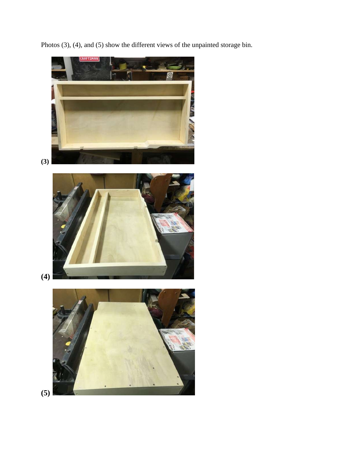Photos (3), (4), and (5) show the different views of the unpainted storage bin.

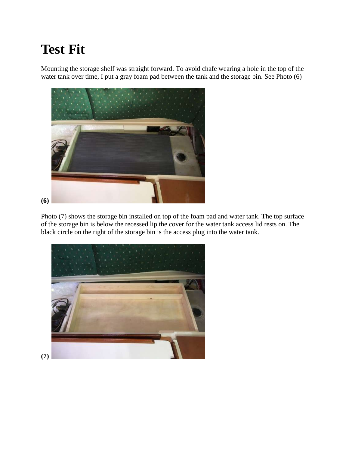# **Test Fit**

Mounting the storage shelf was straight forward. To avoid chafe wearing a hole in the top of the water tank over time, I put a gray foam pad between the tank and the storage bin. See Photo (6)



Photo (7) shows the storage bin installed on top of the foam pad and water tank. The top surface of the storage bin is below the recessed lip the cover for the water tank access lid rests on. The black circle on the right of the storage bin is the access plug into the water tank.

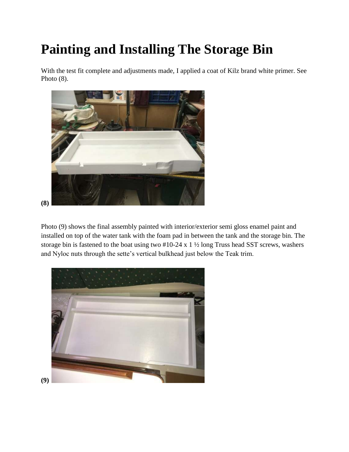# **Painting and Installing The Storage Bin**

With the test fit complete and adjustments made, I applied a coat of Kilz brand white primer. See Photo (8).



Photo (9) shows the final assembly painted with interior/exterior semi gloss enamel paint and installed on top of the water tank with the foam pad in between the tank and the storage bin. The storage bin is fastened to the boat using two #10-24 x 1 ½ long Truss head SST screws, washers and Nyloc nuts through the sette's vertical bulkhead just below the Teak trim.

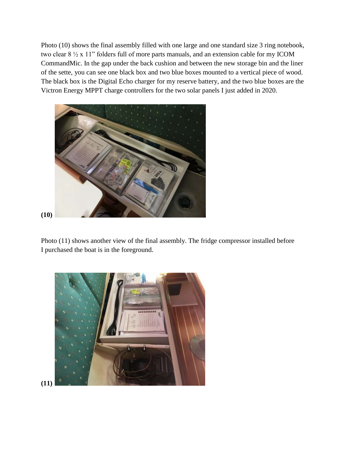Photo (10) shows the final assembly filled with one large and one standard size 3 ring notebook, two clear 8 ½ x 11" folders full of more parts manuals, and an extension cable for my ICOM CommandMic. In the gap under the back cushion and between the new storage bin and the liner of the sette, you can see one black box and two blue boxes mounted to a vertical piece of wood. The black box is the Digital Echo charger for my reserve battery, and the two blue boxes are the Victron Energy MPPT charge controllers for the two solar panels I just added in 2020.



Photo (11) shows another view of the final assembly. The fridge compressor installed before I purchased the boat is in the foreground.



**(11)**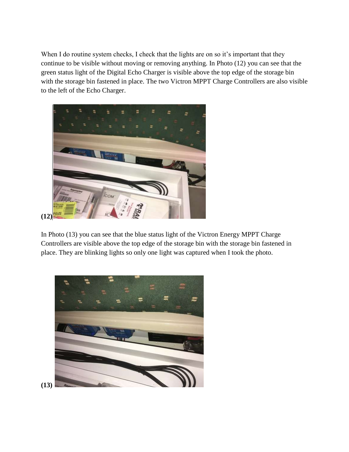When I do routine system checks, I check that the lights are on so it's important that they continue to be visible without moving or removing anything. In Photo (12) you can see that the green status light of the Digital Echo Charger is visible above the top edge of the storage bin with the storage bin fastened in place. The two Victron MPPT Charge Controllers are also visible to the left of the Echo Charger.



**(12)**

In Photo (13) you can see that the blue status light of the Victron Energy MPPT Charge Controllers are visible above the top edge of the storage bin with the storage bin fastened in place. They are blinking lights so only one light was captured when I took the photo.